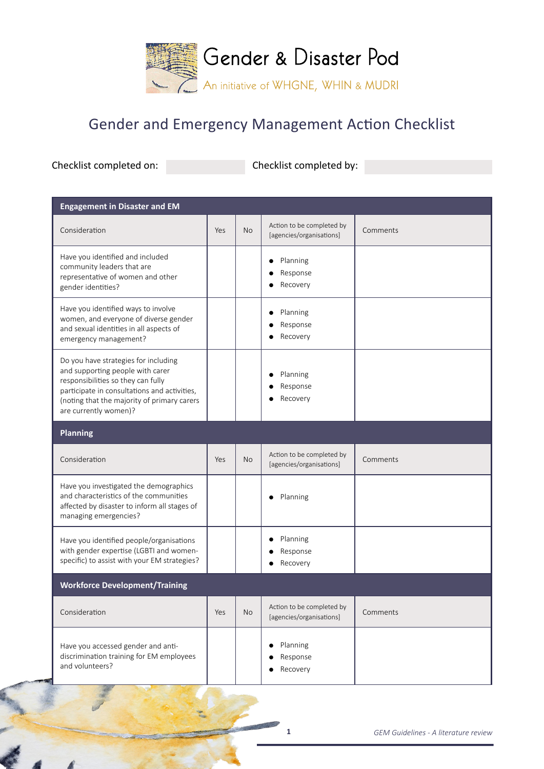

## Gender and Emergency Management Action Checklist

Checklist completed on: Checklist completed by:

| <b>Engagement in Disaster and EM</b>                                                                                                                                                                                                   |     |           |                                                       |          |  |  |  |
|----------------------------------------------------------------------------------------------------------------------------------------------------------------------------------------------------------------------------------------|-----|-----------|-------------------------------------------------------|----------|--|--|--|
| Consideration                                                                                                                                                                                                                          | Yes | <b>No</b> | Action to be completed by<br>[agencies/organisations] | Comments |  |  |  |
| Have you identified and included<br>community leaders that are<br>representative of women and other<br>gender identities?                                                                                                              |     |           | Planning<br>Response<br>Recovery                      |          |  |  |  |
| Have you identified ways to involve<br>women, and everyone of diverse gender<br>and sexual identities in all aspects of<br>emergency management?                                                                                       |     |           | Planning<br>Response<br>Recovery                      |          |  |  |  |
| Do you have strategies for including<br>and supporting people with carer<br>responsibilities so they can fully<br>participate in consultations and activities,<br>(noting that the majority of primary carers<br>are currently women)? |     |           | Planning<br>Response<br>Recovery                      |          |  |  |  |
| <b>Planning</b>                                                                                                                                                                                                                        |     |           |                                                       |          |  |  |  |
| Consideration                                                                                                                                                                                                                          | Yes | <b>No</b> | Action to be completed by<br>[agencies/organisations] | Comments |  |  |  |
| Have you investigated the demographics<br>and characteristics of the communities<br>affected by disaster to inform all stages of<br>managing emergencies?                                                                              |     |           | Planning                                              |          |  |  |  |
| Have you identified people/organisations<br>with gender expertise (LGBTI and women-<br>specific) to assist with your EM strategies?                                                                                                    |     |           | Planning<br>Response<br>Recovery                      |          |  |  |  |
| <b>Workforce Development/Training</b>                                                                                                                                                                                                  |     |           |                                                       |          |  |  |  |
| Consideration                                                                                                                                                                                                                          | Yes | No        | Action to be completed by<br>[agencies/organisations] | Comments |  |  |  |
| Have you accessed gender and anti-<br>discrimination training for EM employees<br>and volunteers?                                                                                                                                      |     |           | Planning<br>Response<br>Recovery                      |          |  |  |  |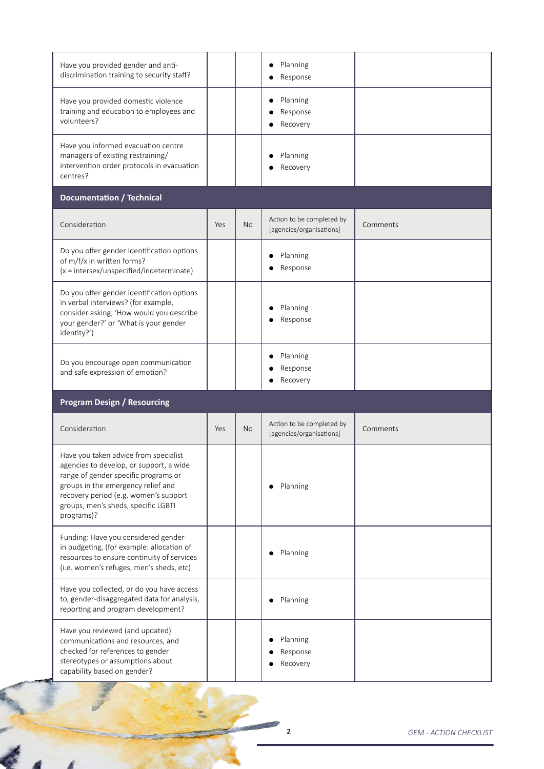| Have you provided gender and anti-<br>discrimination training to security staff?                                                                                                                                                                             |     |           | Planning<br>$\bullet$<br>Response                     |          |  |  |  |  |
|--------------------------------------------------------------------------------------------------------------------------------------------------------------------------------------------------------------------------------------------------------------|-----|-----------|-------------------------------------------------------|----------|--|--|--|--|
| Have you provided domestic violence<br>training and education to employees and<br>volunteers?                                                                                                                                                                |     |           | Planning<br>$\bullet$<br>Response<br>Recovery         |          |  |  |  |  |
| Have you informed evacuation centre<br>managers of existing restraining/<br>intervention order protocols in evacuation<br>centres?                                                                                                                           |     |           | Planning<br>Recovery                                  |          |  |  |  |  |
| <b>Documentation / Technical</b>                                                                                                                                                                                                                             |     |           |                                                       |          |  |  |  |  |
| Consideration                                                                                                                                                                                                                                                | Yes | <b>No</b> | Action to be completed by<br>[agencies/organisations] | Comments |  |  |  |  |
| Do you offer gender identification options<br>of m/f/x in written forms?<br>$(x = interest/unspecified/index$                                                                                                                                                |     |           | Planning<br>Response                                  |          |  |  |  |  |
| Do you offer gender identification options<br>in verbal interviews? (for example,<br>consider asking, 'How would you describe<br>your gender?' or 'What is your gender<br>identity?')                                                                        |     |           | Planning<br>Response                                  |          |  |  |  |  |
| Do you encourage open communication<br>and safe expression of emotion?                                                                                                                                                                                       |     |           | Planning<br>Response<br>Recovery                      |          |  |  |  |  |
| <b>Program Design / Resourcing</b>                                                                                                                                                                                                                           |     |           |                                                       |          |  |  |  |  |
| Consideration                                                                                                                                                                                                                                                | Yes | <b>No</b> | Action to be completed by<br>[agencies/organisations] | Comments |  |  |  |  |
| Have you taken advice from specialist<br>agencies to develop, or support, a wide<br>range of gender specific programs or<br>groups in the emergency relief and<br>recovery period (e.g. women's support<br>groups, men's sheds, specific LGBTI<br>programs)? |     |           | Planning<br>$\bullet$                                 |          |  |  |  |  |
| Funding: Have you considered gender<br>in budgeting, (for example: allocation of<br>resources to ensure continuity of services<br>(i.e. women's refuges, men's sheds, etc)                                                                                   |     |           | Planning                                              |          |  |  |  |  |
| Have you collected, or do you have access<br>to, gender-disaggregated data for analysis,<br>reporting and program development?                                                                                                                               |     |           | Planning                                              |          |  |  |  |  |
| Have you reviewed (and updated)<br>communications and resources, and<br>checked for references to gender<br>stereotypes or assumptions about<br>capability based on gender?                                                                                  |     |           | Planning<br>Response<br>Recovery                      |          |  |  |  |  |